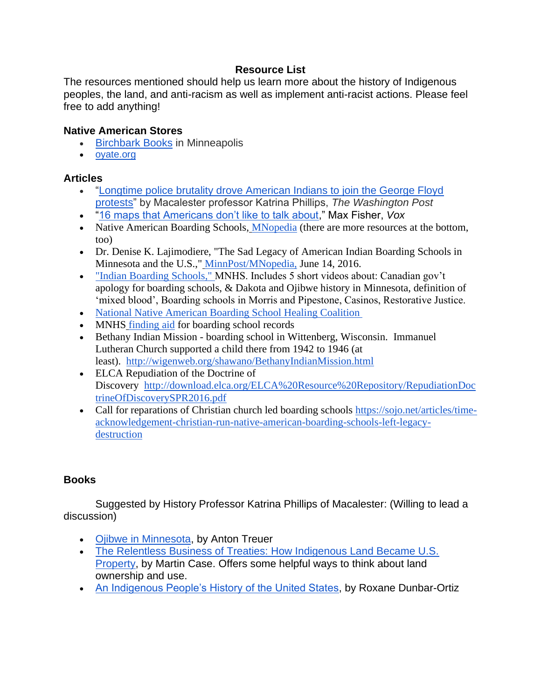### **Resource List**

The resources mentioned should help us learn more about the history of Indigenous peoples, the land, and anti-racism as well as implement anti-racist actions. Please feel free to add anything!

### **Native American Stores**

- [Birchbark Books](https://birchbarkbooks.com/) in Minneapolis
- [oyate.org](http://oyate.org/)

#### **Articles**

- ["Longtime police brutality drove American Indians to join the George Floyd](https://www.washingtonpost.com/outlook/2020/06/06/longtime-police-brutality-drove-american-indians-join-george-floyd-protests/)  [protests"](https://www.washingtonpost.com/outlook/2020/06/06/longtime-police-brutality-drove-american-indians-join-george-floyd-protests/) by Macalester professor Katrina Phillips, *The Washington Post*
- ["16 maps that Americans don't like to talk about,](https://www.vox.com/2015/5/27/8618261/america-maps-truths)" Max Fisher, *Vox*
- Native American Boarding Schools, [MNopedia](https://www.mnopedia.org/native-american-boarding-schools) (there are more resources at the bottom, too)
- Dr. Denise K. Lajimodiere, "The Sad Legacy of American Indian Boarding Schools in Minnesota and the U.S.," [MinnPost/MNopedia,](https://www.minnpost.com/mnopedia/2016/06/sad-legacy-american-indian-boarding-schools-minnesota-and-us/?gclid=EAIaIQobChMI74Gj75_x6wIVUdbACh315wWLEAAYASAAEgI5fPD_BwE) June 14, 2016.
- ["Indian Boarding Schools,"](https://www.usdakotawar.org/history/newcomers-us-government-military-federal-acts-policy/indian-boarding-schools) MNHS. Includes 5 short videos about: Canadian gov't apology for boarding schools, & Dakota and Ojibwe history in Minnesota, definition of 'mixed blood', Boarding schools in Morris and Pipestone, Casinos, Restorative Justice.
- [National Native American Boarding School Healing Coalition](https://boardingschoolhealing.org/)
- MNHS [finding aid](http://www2.mnhs.org/library/findaids/sv000053.xml) for boarding school records
- Bethany Indian Mission boarding school in Wittenberg, Wisconsin. Immanuel Lutheran Church supported a child there from 1942 to 1946 (at least). <http://wigenweb.org/shawano/BethanyIndianMission.html>
- ELCA Repudiation of the Doctrine of Discovery [http://download.elca.org/ELCA%20Resource%20Repository/RepudiationDoc](http://download.elca.org/ELCA%20Resource%20Repository/RepudiationDoctrineOfDiscoverySPR2016.pdf) [trineOfDiscoverySPR2016.pdf](http://download.elca.org/ELCA%20Resource%20Repository/RepudiationDoctrineOfDiscoverySPR2016.pdf)
- Call for reparations of Christian church led boarding schools [https://sojo.net/articles/time](https://sojo.net/articles/time-acknowledgement-christian-run-native-american-boarding-schools-left-legacy-destruction)[acknowledgement-christian-run-native-american-boarding-schools-left-legacy](https://sojo.net/articles/time-acknowledgement-christian-run-native-american-boarding-schools-left-legacy-destruction)[destruction](https://sojo.net/articles/time-acknowledgement-christian-run-native-american-boarding-schools-left-legacy-destruction)

### **Books**

Suggested by History Professor Katrina Phillips of Macalester: (Willing to lead a discussion)

- [Ojibwe in Minnesota,](https://www.mnhs.org/mnhspress/books/ojibwe-minnesota) by Anton Treuer
- [The Relentless Business of Treaties: How Indigenous Land Became U.S.](https://shop.mnhs.org/products/the-relentless-business-of-treaties)  [Property,](https://shop.mnhs.org/products/the-relentless-business-of-treaties) by Martin Case. Offers some helpful ways to think about land ownership and use.
- [An Indigenous People's History of the United States,](https://www.penguinrandomhouse.com/books/237686/an-indigenous-peoples-history-of-the-united-states-by-roxanne-dunbar-ortiz/) by Roxane Dunbar-Ortiz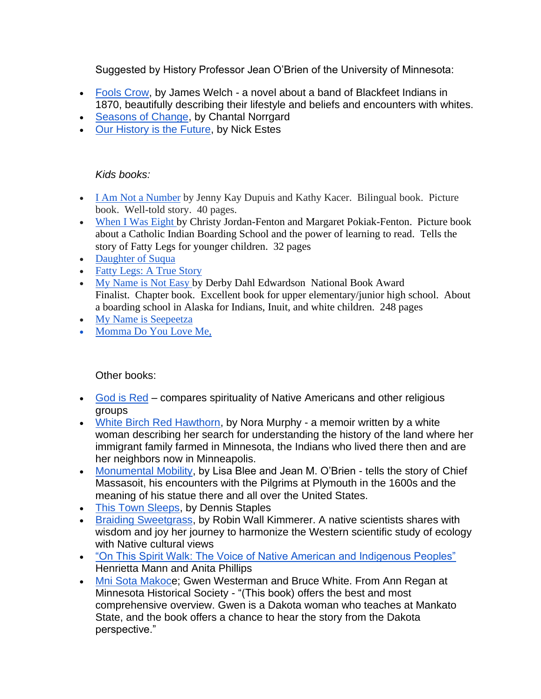Suggested by History Professor Jean O'Brien of the University of Minnesota:

- [Fools Crow,](https://en.wikipedia.org/wiki/Fools_Crow) by James Welch a novel about a band of Blackfeet Indians in 1870, beautifully describing their lifestyle and beliefs and encounters with whites.
- [Seasons of Change,](https://uncpress.org/book/9781469617299/seasons-of-change/) by Chantal Norrgard
- [Our History is the Future,](https://www.npr.org/2019/03/06/700013728/our-history-is-the-future-puts-standing-rock-in-broader-native-american-story) by Nick Estes

#### *Kids books:*

- [I Am Not a Number](https://www.amazon.com/Not-Number-Jenny-Kay-Dupuis/dp/1927583942) by Jenny Kay Dupuis and Kathy Kacer. Bilingual book. Picture book. Well-told story. 40 pages.
- [When I Was Eight](https://www.amazon.com/When-Was-Eight-Christy-Jordan-Fenton/dp/1554514908/ref=pd_lpo_14_t_0/136-8196544-4448334?_encoding=UTF8&pd_rd_i=1554514908&pd_rd_r=392eb289-121b-4e4a-80a9-727ae66a9fd3&pd_rd_w=5nyfY&pd_rd_wg=2j2Hw&pf_rd_p=7b36d496-f366-4631-94d3-61b87b52511b&pf_rd_r=3N87V1PQ74AJ57B8FPRN&psc=1&refRID=3N87V1PQ74AJ57B8FPRN) by Christy Jordan-Fenton and Margaret Pokiak-Fenton. Picture book about a Catholic Indian Boarding School and the power of learning to read. Tells the story of Fatty Legs for younger children. 32 pages
- [Daughter of Suqua](https://www.amazon.com/Daughter-Suqua-Diane-Johnston-Hamm/dp/0807514772)
- [Fatty Legs: A True Story](https://www.amazon.com/Fatty-Legs-Christy-Jordan-Fenton/dp/1554512468)
- [My Name is Not Easy](https://www.amazon.com/Name-Easy-Debby-Dahl-Edwardson/dp/1477816291/ref=sr_1_1?dchild=1&keywords=My+Name+Is+Not+Easy&qid=1600705972&s=books&sr=1-1) by Derby Dahl Edwardson National Book Award Finalist. Chapter book. Excellent book for upper elementary/junior high school. About a boarding school in Alaska for Indians, Inuit, and white children. 248 pages
- [My Name is Seepeetza](https://www.amazon.com/My-Name-Seepeetza-Shirley-Sterling/dp/0888991657/ref=sr_1_1?dchild=1&keywords=My+Name+Is+Seepeetza&qid=1600706000&s=books&sr=1-1)
- Momma Do You Love Me,

### Other books:

- [God is Red](https://en.wikipedia.org/wiki/God_Is_Red) compares spirituality of Native Americans and other religious groups
- [White Birch Red Hawthorn,](https://www.upress.umn.edu/book-division/books/white-birch-red-hawthorn) by Nora Murphy a memoir written by a white woman describing her search for understanding the history of the land where her immigrant family farmed in Minnesota, the Indians who lived there then and are her neighbors now in Minneapolis.
- [Monumental Mobility,](https://www.jstor.org/stable/10.5149/9781469648422_blee) by Lisa Blee and Jean M. O'Brien tells the story of Chief Massasoit, his encounters with the Pilgrims at Plymouth in the 1600s and the meaning of his statue there and all over the United States.
- [This Town Sleeps,](https://www.counterpointpress.com/dd-product/this-town-sleeps/) by Dennis Staples
- [Braiding Sweetgrass,](https://milkweed.org/book/braiding-sweetgrass) by Robin Wall Kimmerer. A native scientists shares with wisdom and joy her journey to harmonize the Western scientific study of ecology with Native cultural views
- ["On This Spirit Walk: The Voice of Native American and Indigenous Peoples"](https://www.amazon.com/This-Spirit-Walk-American-Indigenous/dp/1426758413)  Henrietta Mann and Anita Phillips
- [Mni Sota Makoce](https://www.amazon.com/Mni-Sota-Makoce-Land-Dakota/dp/0873518691/ref=sr_1_1?crid=F3M7ZX9UVX7N&dchild=1&keywords=mni+sota+makoce&qid=1598995444&s=books&sprefix=mni%2Cstripbooks%2C172&sr=1-1); Gwen Westerman and Bruce White. From Ann Regan at Minnesota Historical Society - "(This book) offers the best and most comprehensive overview. Gwen is a Dakota woman who teaches at Mankato State, and the book offers a chance to hear the story from the Dakota perspective."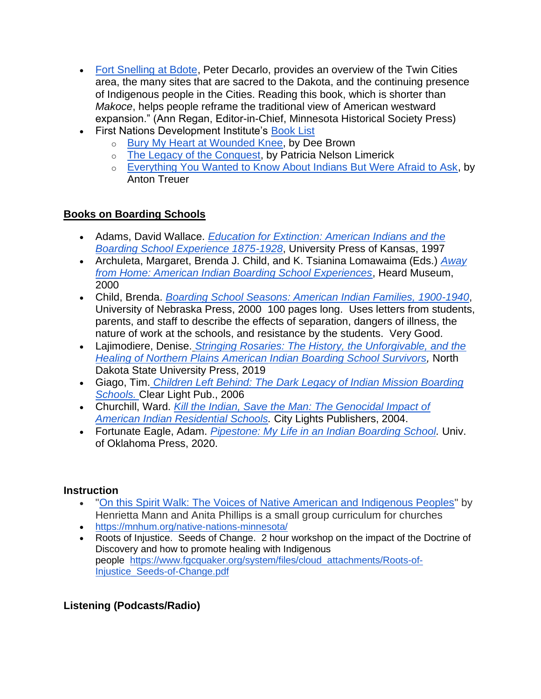- [Fort Snelling at Bdote,](https://www.amazon.com/Fort-Snelling-Bdote-Updated-History/dp/1681341719/ref=sr_1_1?crid=3MXZTV39Q2COT&dchild=1&keywords=fort+snelling+at+bdote&qid=1598995532&s=books&sprefix=fort+snelling+at+bd%2Cstripbooks%2C180&sr=1-1) Peter Decarlo, provides an overview of the Twin Cities area, the many sites that are sacred to the Dakota, and the continuing presence of Indigenous people in the Cities. Reading this book, which is shorter than *Makoce*, helps people reframe the traditional view of American westward expansion." (Ann Regan, Editor-in-Chief, Minnesota Historical Society Press)
- First Nations Development Institute's [Book List](https://www.firstnations.org/knowledge-center/books/)
	- o [Bury My Heart at Wounded Knee,](https://en.wikipedia.org/wiki/Bury_My_Heart_at_Wounded_Knee) by Dee Brown
	- o [The Legacy of the Conquest,](https://wwnorton.com/books/9780393304978) by Patricia Nelson Limerick
	- o [Everything You Wanted to Know About Indians But Were Afraid to Ask,](https://birchbarkbooks.com/all-online-titles/everything-you-wanted-to-know-about-indians-but-were-afraid-to-ask) by Anton Treuer

## **Books on Boarding Schools**

- Adams, David Wallace. *[Education for Extinction: American Indians and the](https://www.amazon.com/Education-Extinction-American-Experience-1875-1928/dp/0700608389)  [Boarding School Experience 1875-1928](https://www.amazon.com/Education-Extinction-American-Experience-1875-1928/dp/0700608389)*, University Press of Kansas, 1997
- Archuleta, Margaret, Brenda J. Child, and K. Tsianina Lomawaima (Eds.) *[Away](https://www.amazon.com/Away-Home-American-Experiences-1879-2000/dp/0934351627)  [from Home: American Indian Boarding School Experiences](https://www.amazon.com/Away-Home-American-Experiences-1879-2000/dp/0934351627)*, Heard Museum, 2000
- Child, Brenda. *[Boarding School Seasons: American Indian Families, 1900-1940](http://oyate.org/index.php/hikashop-menu-for-module-114/product/287-boarding-school-seasons-american-indian-families-1900-1940)*, University of Nebraska Press, 2000 100 pages long. Uses letters from students, parents, and staff to describe the effects of separation, dangers of illness, the nature of work at the schools, and resistance by the students. Very Good.
- Lajimodiere, Denise. *[Stringing Rosaries: The History, the Unforgivable, and the](https://www.amazon.com/Stringing-Rosaries-Unforgivable-Contemporary-Indigenous/dp/1946163104)  [Healing of Northern Plains American Indian Boarding School Survivors,](https://www.amazon.com/Stringing-Rosaries-Unforgivable-Contemporary-Indigenous/dp/1946163104)* North Dakota State University Press, 2019
- Giago, Tim. *[Children Left Behind: The Dark Legacy of Indian Mission Boarding](http://oyate.org/index.php/hikashop-menu-for-module-114/product/742-children-left-behind-the-dark-legacy-of-indian-mission-boarding-schools)  [Schools.](http://oyate.org/index.php/hikashop-menu-for-module-114/product/742-children-left-behind-the-dark-legacy-of-indian-mission-boarding-schools)* Clear Light Pub., 2006
- Churchill, Ward. *[Kill the Indian, Save the Man: The Genocidal Impact of](https://www.amazon.com/Kill-Indian-Save-Man-Residential/dp/0872864340/ref=sr_1_1?crid=35GX3EWR4465K&dchild=1&keywords=kill+the+indian+save+the+man&qid=1602084858&s=books&sprefix=kill+the+in%2Cstripbooks%2C193&sr=1-1)  [American Indian Residential Schools.](https://www.amazon.com/Kill-Indian-Save-Man-Residential/dp/0872864340/ref=sr_1_1?crid=35GX3EWR4465K&dchild=1&keywords=kill+the+indian+save+the+man&qid=1602084858&s=books&sprefix=kill+the+in%2Cstripbooks%2C193&sr=1-1)* City Lights Publishers, 2004.
- Fortunate Eagle, Adam. *[Pipestone: My Life in an Indian Boarding School.](https://www.amazon.com/Pipestone-Life-Indian-Boarding-School/dp/080614114X/ref=pd_sbs_14_5/132-2892512-0216812?_encoding=UTF8&pd_rd_i=080614114X&pd_rd_r=548d0e4f-627a-4e18-b42b-854f024a295b&pd_rd_w=STrbC&pd_rd_wg=Q6dMw&pf_rd_p=b65ee94e-1282-43fc-a8b1-8bf931f6dfab&pf_rd_r=F63WRB12JV2BAXATBBN9&psc=1&refRID=F63WRB12JV2BAXATBBN9)* Univ. of Oklahoma Press, 2020.

### **Instruction**

- ["On this Spirit Walk: The Voices of Native American and Indigenous Peoples"](https://www.amazon.com/This-Spirit-Walk-American-Indigenous/dp/1426758413#ace-g9859629705) by Henrietta Mann and Anita Phillips is a small group curriculum for churches
- <https://mnhum.org/native-nations-minnesota/>
- Roots of Injustice. Seeds of Change. 2 hour workshop on the impact of the Doctrine of Discovery and how to promote healing with Indigenous people [https://www.fgcquaker.org/system/files/cloud\\_attachments/Roots-of-](https://www.fgcquaker.org/system/files/cloud_attachments/Roots-of-Injustice_Seeds-of-Change.pdf)[Injustice\\_Seeds-of-Change.pdf](https://www.fgcquaker.org/system/files/cloud_attachments/Roots-of-Injustice_Seeds-of-Change.pdf)

# **Listening (Podcasts/Radio)**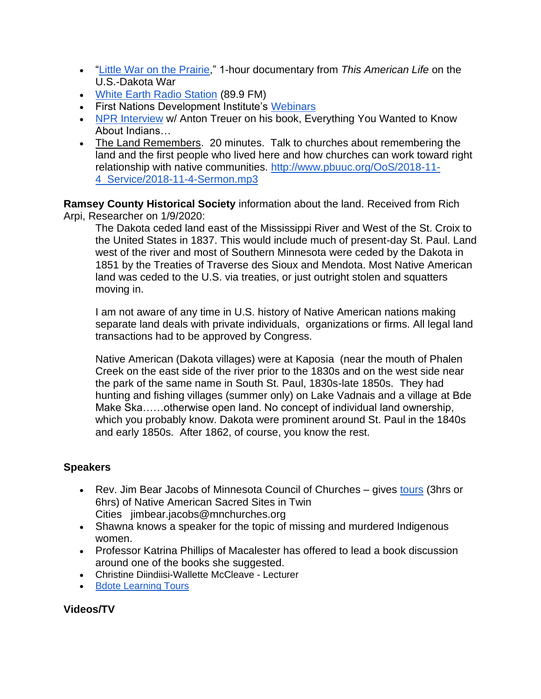- ["Little War on the Prairie,](https://www.sceneonradio.org/episode-35-little-war-on-the-prairie-seeing-white-part-5/)" 1-hour documentary from *This American Life* on the U.S.-Dakota War
- [White Earth Radio Station](http://www.niijiiradio.com/) (89.9 FM)
- First Nations Development Institute's [Webinars](https://www.firstnations.org/knowledge-center/webinars/)
- [NPR Interview](https://www.npr.org/2012/10/08/162392326/everything-you-wanted-to-know-about-indians) w/ Anton Treuer on his book, Everything You Wanted to Know About Indians…
- The Land Remembers. 20 minutes. Talk to churches about remembering the land and the first people who lived here and how churches can work toward right relationship with native communities. [http://www.pbuuc.org/OoS/2018-11-](http://www.pbuuc.org/OoS/2018-11-4_Service/2018-11-4-Sermon.mp3) [4\\_Service/2018-11-4-Sermon.mp3](http://www.pbuuc.org/OoS/2018-11-4_Service/2018-11-4-Sermon.mp3)

**Ramsey County Historical Society** information about the land. Received from Rich Arpi, Researcher on 1/9/2020:

The Dakota ceded land east of the Mississippi River and West of the St. Croix to the United States in 1837. This would include much of present-day St. Paul. Land west of the river and most of Southern Minnesota were ceded by the Dakota in 1851 by the Treaties of Traverse des Sioux and Mendota. Most Native American land was ceded to the U.S. via treaties, or just outright stolen and squatters moving in.

I am not aware of any time in U.S. history of Native American nations making separate land deals with private individuals, organizations or firms. All legal land transactions had to be approved by Congress.

Native American (Dakota villages) were at Kaposia (near the mouth of Phalen Creek on the east side of the river prior to the 1830s and on the west side near the park of the same name in South St. Paul, 1830s-late 1850s. They had hunting and fishing villages (summer only) on Lake Vadnais and a village at Bde Make Ska……otherwise open land. No concept of individual land ownership, which you probably know. Dakota were prominent around St. Paul in the 1840s and early 1850s. After 1862, of course, you know the rest.

### **Speakers**

- Rev. Jim Bear Jacobs of Minnesota Council of Churches gives [tours](http://www.mnchurches.org/what-we-do/healing-minnesota-stories) (3hrs or 6hrs) of Native American Sacred Sites in Twin Cities jimbear.jacobs@mnchurches.org
- Shawna knows a speaker for the topic of missing and murdered Indigenous women.
- Professor Katrina Phillips of Macalester has offered to lead a book discussion around one of the books she suggested.
- Christine Diindiisi-Wallette McCleave Lecturer
- [Bdote Learning Tours](https://mnhum.org/k12/professional-development-educators/learning-from-place-bdote/)

### **Videos/TV**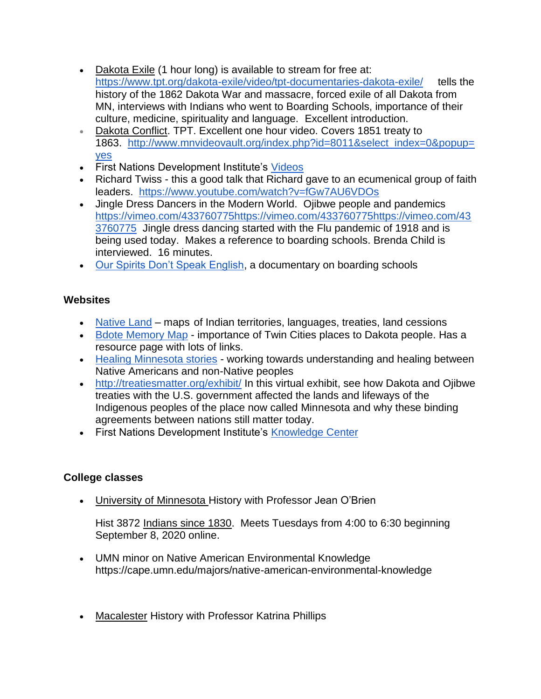- Dakota Exile (1 hour long) is available to stream for free at: <https://www.tpt.org/dakota-exile/video/tpt-documentaries-dakota-exile/> tells the history of the 1862 Dakota War and massacre, forced exile of all Dakota from MN, interviews with Indians who went to Boarding Schools, importance of their culture, medicine, spirituality and language. Excellent introduction.
- Dakota Conflict. TPT. Excellent one hour video. Covers 1851 treaty to 1863. [http://www.mnvideovault.org/index.php?id=8011&select\\_index=0&popup=](http://www.mnvideovault.org/index.php?id=8011&select_index=0&popup=yes) [yes](http://www.mnvideovault.org/index.php?id=8011&select_index=0&popup=yes)
- First Nations Development Institute's [Videos](https://www.firstnations.org/knowledge-center/videos/)
- Richard Twiss this a good talk that Richard gave to an ecumenical group of faith leaders. <https://www.youtube.com/watch?v=fGw7AU6VDOs>
- Jingle Dress Dancers in the Modern World. Ojibwe people and pandemics [https://vimeo.com/433760775https://vimeo.com/433760775https://vimeo.com/43](https://vimeo.com/433760775https:/vimeo.com/433760775https:/vimeo.com/433760775) [3760775](https://vimeo.com/433760775https:/vimeo.com/433760775https:/vimeo.com/433760775) Jingle dress dancing started with the Flu pandemic of 1918 and is being used today. Makes a reference to boarding schools. Brenda Child is interviewed. 16 minutes.
- [Our Spirits Don't Speak English,](https://en.wikipedia.org/wiki/Our_Spirits_Don%27t_Speak_English) a documentary on boarding schools

## **Websites**

- [Native Land](https://native-land.ca/) maps of Indian territories, languages, treaties, land cessions
- [Bdote Memory Map](http://bdotememorymap.org/) importance of Twin Cities places to Dakota people. Has a resource page with lots of links.
- [Healing Minnesota stories](https://healingmnstories.wordpress.com/) working towards understanding and healing between Native Americans and non-Native peoples
- <http://treatiesmatter.org/exhibit/> In this virtual exhibit, see how Dakota and Ojibwe treaties with the U.S. government affected the lands and lifeways of the Indigenous peoples of the place now called Minnesota and why these binding agreements between nations still matter today.
- First Nations Development Institute's [Knowledge Center](https://www.firstnations.org/knowledge-center/)

# **College classes**

• University of Minnesota History with Professor Jean O'Brien

Hist 3872 Indians since 1830. Meets Tuesdays from 4:00 to 6:30 beginning September 8, 2020 online.

- UMN minor on Native American Environmental Knowledge https://cape.umn.edu/majors/native-american-environmental-knowledge
- Macalester History with Professor Katrina Phillips